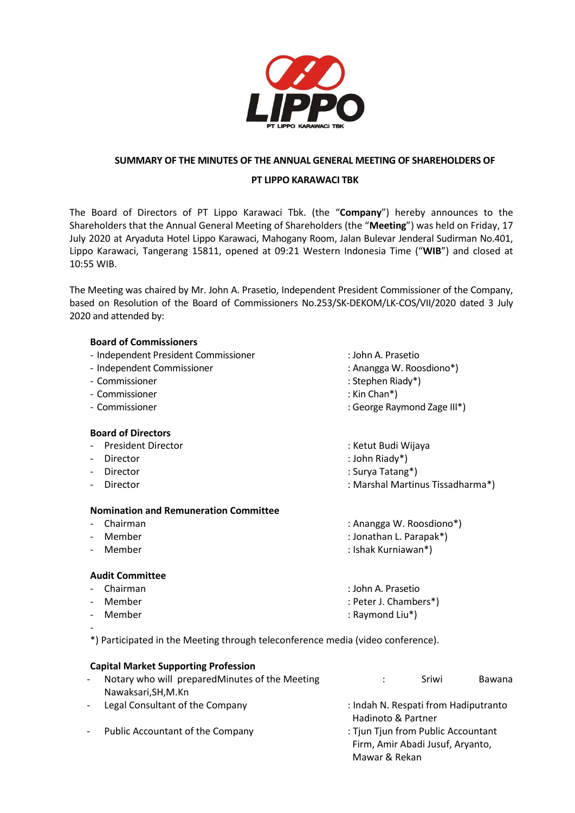

## **SUMMARY OF THE MINUTES OF THE ANNUAL GENERAL MEETING OF SHAREHOLDERS OF**

### **PT LIPPO KARAWACI TBK**

The Board of Directors of PT Lippo Karawaci Tbk. (the "**Company**") hereby announces to the Shareholders that the Annual General Meeting of Shareholders (the "**Meeting**") was held on Friday, 17 July 2020 at Aryaduta Hotel Lippo Karawaci, Mahogany Room, Jalan Bulevar Jenderal Sudirman No.401, Lippo Karawaci, Tangerang 15811, opened at 09:21 Western Indonesia Time ("**WIB**") and closed at 10:55 WIB.

The Meeting was chaired by Mr. John A. Prasetio, Independent President Commissioner of the Company, based on Resolution of the Board of Commissioners No.253/SK-DEKOM/LK-COS/VII/2020 dated 3 July 2020 and attended by:

### **Board of Commissioners**

- Independent President Commissioner : John A. Prasetio
- Independent Commissioner in a state of the state of the state of the state of the state of the state of the state of the state of the state of the state of the state of the state of the state of the state of the state of
- Commissioner : Stephen Riady\*)
- Commissioner : Kin Chan\*)
- 

### **Board of Directors**

- President Director **in American Controller State Controller State Controller State Controller State Controller**
- 
- 
- 

### **Nomination and Remuneration Committee**

- 
- 
- 

# **Audit Committee**

- Chairman : John A. Prasetio
- 
- 
- -

- Member : Raymond Liu\*)

\*) Participated in the Meeting through teleconference media (video conference).

|                          | <b>Capital Market Supporting Profession</b>     |                                                                                         |       |        |
|--------------------------|-------------------------------------------------|-----------------------------------------------------------------------------------------|-------|--------|
| $\overline{\phantom{a}}$ | Notary who will prepared Minutes of the Meeting |                                                                                         | Sriwi | Bawana |
|                          | Nawaksari, SH, M.Kn                             |                                                                                         |       |        |
| $\blacksquare$           | Legal Consultant of the Company                 | : Indah N. Respati from Hadiputranto<br>Hadinoto & Partner                              |       |        |
|                          | Public Accountant of the Company                | : Tjun Tjun from Public Accountant<br>Firm, Amir Abadi Jusuf, Aryanto,<br>Mawar & Rekan |       |        |

- 
- 
- 
- 
- Commissioner  $\blacksquare$ : George Raymond Zage III\*)
	-
- Director : John Riady\*)
- Director : Surya Tatang\*)
- Director : Marshal Martinus Tissadharma\*)
- Chairman : Anangga W. Roosdiono\*)
	- Member : Jonathan L. Parapak\*)
- Member : Ishak Kurniawan\*)
	-
	-
	-
- Member : Peter J. Chambers\*)
	-
	-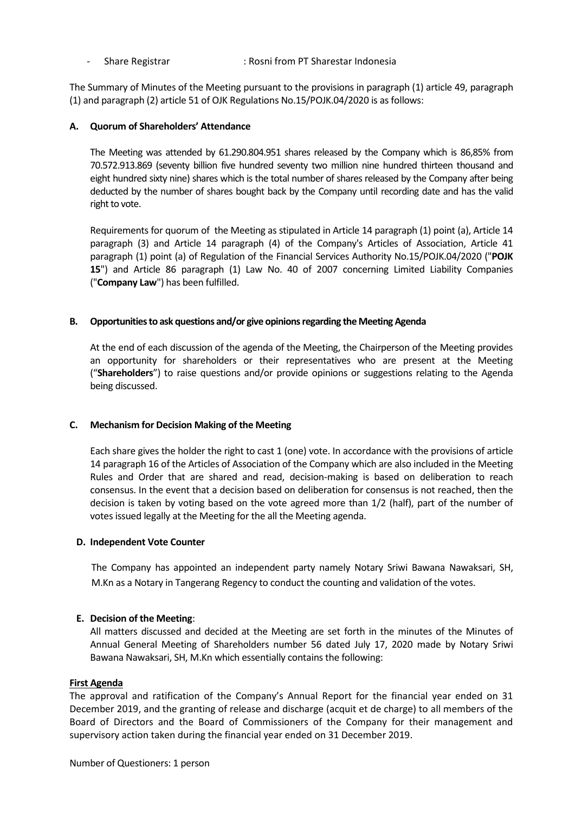- Share Registrar : Rosni from PT Sharestar Indonesia

The Summary of Minutes of the Meeting pursuant to the provisions in paragraph (1) article 49, paragraph (1) and paragraph (2) article 51 of OJK Regulations No.15/POJK.04/2020 is as follows:

#### **A. Quorum of Shareholders' Attendance**

The Meeting was attended by 61.290.804.951 shares released by the Company which is 86,85% from 70.572.913.869 (seventy billion five hundred seventy two million nine hundred thirteen thousand and eight hundred sixty nine) shares which is the total number of shares released by the Company after being deducted by the number of shares bought back by the Company until recording date and has the valid right to vote.

Requirements for quorum of the Meeting as stipulated in Article 14 paragraph (1) point (a), Article 14 paragraph (3) and Article 14 paragraph (4) of the Company's Articles of Association, Article 41 paragraph (1) point (a) of Regulation of the Financial Services Authority No.15/POJK.04/2020 ("**POJK 15**") and Article 86 paragraph (1) Law No. 40 of 2007 concerning Limited Liability Companies ("**Company Law**") has been fulfilled.

#### **B. Opportunities to ask questions and/or give opinions regarding the Meeting Agenda**

At the end of each discussion of the agenda of the Meeting, the Chairperson of the Meeting provides an opportunity for shareholders or their representatives who are present at the Meeting ("**Shareholders**") to raise questions and/or provide opinions or suggestions relating to the Agenda being discussed.

### **C. Mechanism for Decision Making of the Meeting**

Each share gives the holder the right to cast 1 (one) vote. In accordance with the provisions of article 14 paragraph 16 of the Articles of Association of the Company which are also included in the Meeting Rules and Order that are shared and read, decision-making is based on deliberation to reach consensus. In the event that a decision based on deliberation for consensus is not reached, then the decision is taken by voting based on the vote agreed more than 1/2 (half), part of the number of votes issued legally at the Meeting for the all the Meeting agenda.

#### **D. Independent Vote Counter**

The Company has appointed an independent party namely Notary Sriwi Bawana Nawaksari, SH, M.Kn as a Notary in Tangerang Regency to conduct the counting and validation of the votes.

### **E. Decision of the Meeting**:

All matters discussed and decided at the Meeting are set forth in the minutes of the Minutes of Annual General Meeting of Shareholders number 56 dated July 17, 2020 made by Notary Sriwi Bawana Nawaksari, SH, M.Kn which essentially contains the following:

#### **First Agenda**

The approval and ratification of the Company's Annual Report for the financial year ended on 31 December 2019, and the granting of release and discharge (acquit et de charge) to all members of the Board of Directors and the Board of Commissioners of the Company for their management and supervisory action taken during the financial year ended on 31 December 2019.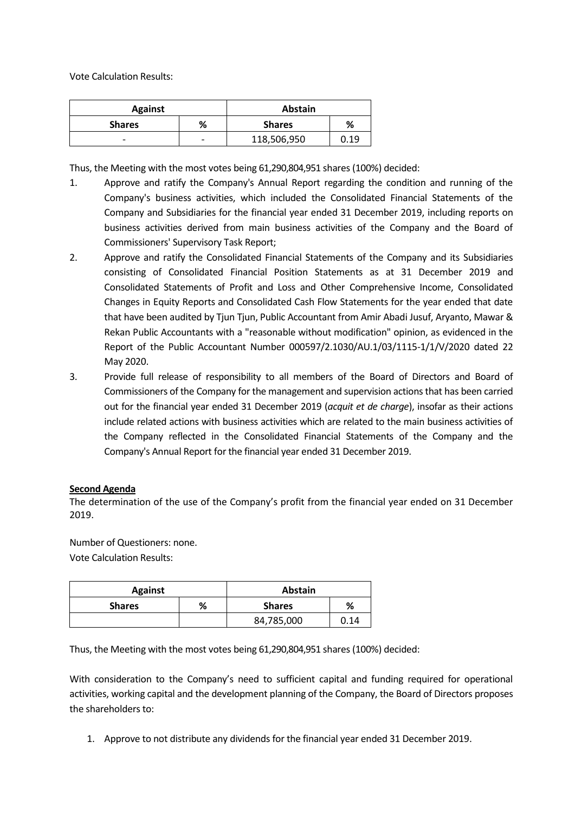Vote Calculation Results:

| <b>Against</b>           |   | <b>Abstain</b> |      |
|--------------------------|---|----------------|------|
| <b>Shares</b>            | % | <b>Shares</b>  | %    |
| $\overline{\phantom{0}}$ | - | 118,506,950    | 0.19 |

Thus, the Meeting with the most votes being 61,290,804,951 shares (100%) decided:

- 1. Approve and ratify the Company's Annual Report regarding the condition and running of the Company's business activities, which included the Consolidated Financial Statements of the Company and Subsidiaries for the financial year ended 31 December 2019, including reports on business activities derived from main business activities of the Company and the Board of Commissioners' Supervisory Task Report;
- 2. Approve and ratify the Consolidated Financial Statements of the Company and its Subsidiaries consisting of Consolidated Financial Position Statements as at 31 December 2019 and Consolidated Statements of Profit and Loss and Other Comprehensive Income, Consolidated Changes in Equity Reports and Consolidated Cash Flow Statements for the year ended that date that have been audited by Tjun Tjun, Public Accountant from Amir Abadi Jusuf, Aryanto, Mawar & Rekan Public Accountants with a "reasonable without modification" opinion, as evidenced in the Report of the Public Accountant Number 000597/2.1030/AU.1/03/1115-1/1/V/2020 dated 22 May 2020.
- 3. Provide full release of responsibility to all members of the Board of Directors and Board of Commissioners of the Company for the management and supervision actions that has been carried out for the financial year ended 31 December 2019 (*acquit et de charge*), insofar as their actions include related actions with business activities which are related to the main business activities of the Company reflected in the Consolidated Financial Statements of the Company and the Company's Annual Report for the financial year ended 31 December 2019.

### **Second Agenda**

The determination of the use of the Company's profit from the financial year ended on 31 December 2019.

Number of Questioners: none. Vote Calculation Results:

| <b>Against</b> |   | <b>Abstain</b> |      |
|----------------|---|----------------|------|
| <b>Shares</b>  | % | <b>Shares</b>  | %    |
|                |   | 84,785,000     | 0.14 |

Thus, the Meeting with the most votes being 61,290,804,951 shares (100%) decided:

With consideration to the Company's need to sufficient capital and funding required for operational activities, working capital and the development planning of the Company, the Board of Directors proposes the shareholders to:

1. Approve to not distribute any dividends for the financial year ended 31 December 2019.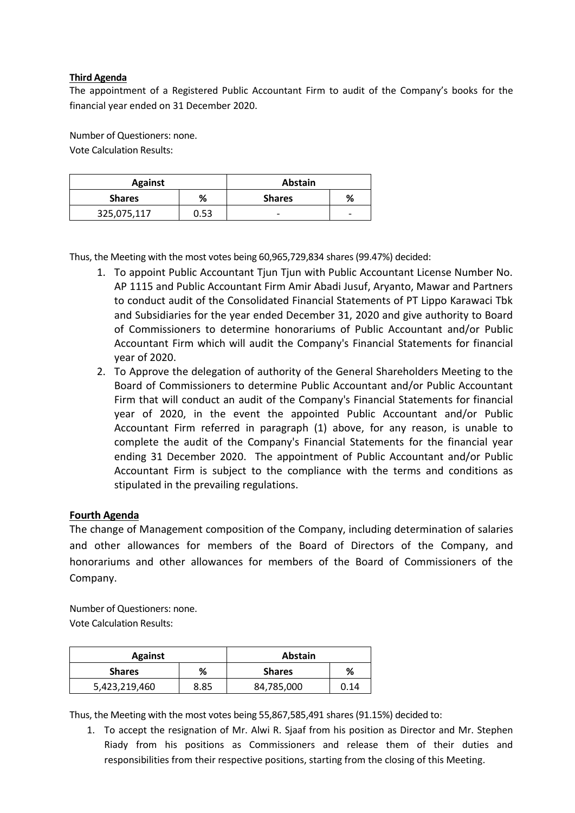## **Third Agenda**

The appointment of a Registered Public Accountant Firm to audit of the Company's books for the financial year ended on 31 December 2020.

Number of Questioners: none. Vote Calculation Results:

| <b>Against</b> |      | <b>Abstain</b> |                          |
|----------------|------|----------------|--------------------------|
| <b>Shares</b>  | %    | <b>Shares</b>  | %                        |
| 325,075,117    | 0.53 | -              | $\overline{\phantom{0}}$ |

Thus, the Meeting with the most votes being 60,965,729,834 shares (99.47%) decided:

- 1. To appoint Public Accountant Tjun Tjun with Public Accountant License Number No. AP 1115 and Public Accountant Firm Amir Abadi Jusuf, Aryanto, Mawar and Partners to conduct audit of the Consolidated Financial Statements of PT Lippo Karawaci Tbk and Subsidiaries for the year ended December 31, 2020 and give authority to Board of Commissioners to determine honorariums of Public Accountant and/or Public Accountant Firm which will audit the Company's Financial Statements for financial year of 2020.
- 2. To Approve the delegation of authority of the General Shareholders Meeting to the Board of Commissioners to determine Public Accountant and/or Public Accountant Firm that will conduct an audit of the Company's Financial Statements for financial year of 2020, in the event the appointed Public Accountant and/or Public Accountant Firm referred in paragraph (1) above, for any reason, is unable to complete the audit of the Company's Financial Statements for the financial year ending 31 December 2020. The appointment of Public Accountant and/or Public Accountant Firm is subject to the compliance with the terms and conditions as stipulated in the prevailing regulations.

# **Fourth Agenda**

The change of Management composition of the Company, including determination of salaries and other allowances for members of the Board of Directors of the Company, and honorariums and other allowances for members of the Board of Commissioners of the Company.

Number of Questioners: none. Vote Calculation Results:

| <b>Against</b> |      | Abstain       |      |
|----------------|------|---------------|------|
| <b>Shares</b>  | %    | <b>Shares</b> | %    |
| 5,423,219,460  | 8.85 | 84,785,000    | 0.14 |

Thus, the Meeting with the most votes being 55,867,585,491 shares (91.15%) decided to:

1. To accept the resignation of Mr. Alwi R. Sjaaf from his position as Director and Mr. Stephen Riady from his positions as Commissioners and release them of their duties and responsibilities from their respective positions, starting from the closing of this Meeting.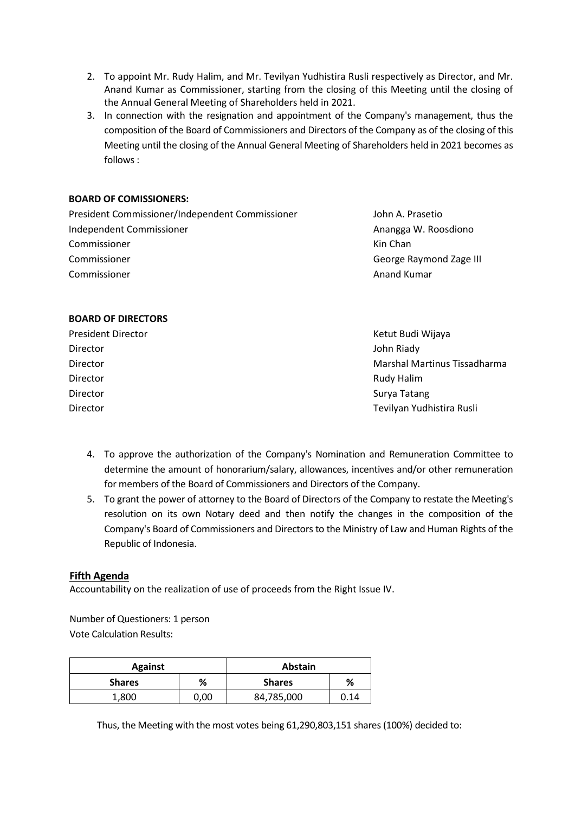- 2. To appoint Mr. Rudy Halim, and Mr. Tevilyan Yudhistira Rusli respectively as Director, and Mr. Anand Kumar as Commissioner, starting from the closing of this Meeting until the closing of the Annual General Meeting of Shareholders held in 2021.
- 3. In connection with the resignation and appointment of the Company's management, thus the composition of the Board of Commissioners and Directors of the Company as of the closing of this Meeting until the closing of the Annual General Meeting of Shareholders held in 2021 becomes as follows:

### **BOARD OF COMISSIONERS:**

President Commissioner/Independent Commissioner John A. Prasetio Independent Commissioner Anangga W. Roosdiono Commissioner Commissioner Commissioner

Kin Chan George Raymond Zage III Anand Kumar

## **BOARD OF DIRECTORS**

| <b>President Director</b> | Ketut Budi Wijaya            |
|---------------------------|------------------------------|
| Director                  | John Riady                   |
| Director                  | Marshal Martinus Tissadharma |
| Director                  | Rudy Halim                   |
| Director                  | Surya Tatang                 |
| Director                  | Tevilyan Yudhistira Rusli    |

- 4. To approve the authorization of the Company's Nomination and Remuneration Committee to determine the amount of honorarium/salary, allowances, incentives and/or other remuneration for members of the Board of Commissioners and Directors of the Company.
- 5. To grant the power of attorney to the Board of Directors of the Company to restate the Meeting's resolution on its own Notary deed and then notify the changes in the composition of the Company's Board of Commissioners and Directors to the Ministry of Law and Human Rights of the Republic of Indonesia.

# **Fifth Agenda**

Accountability on the realization of use of proceeds from the Right Issue IV.

Number of Questioners: 1 person Vote Calculation Results:

| <b>Against</b> |      | <b>Abstain</b> |      |
|----------------|------|----------------|------|
| <b>Shares</b>  | %    | <b>Shares</b>  | %    |
| 1,800          | 0,00 | 84,785,000     | Ი.14 |

Thus, the Meeting with the most votes being 61,290,803,151 shares (100%) decided to: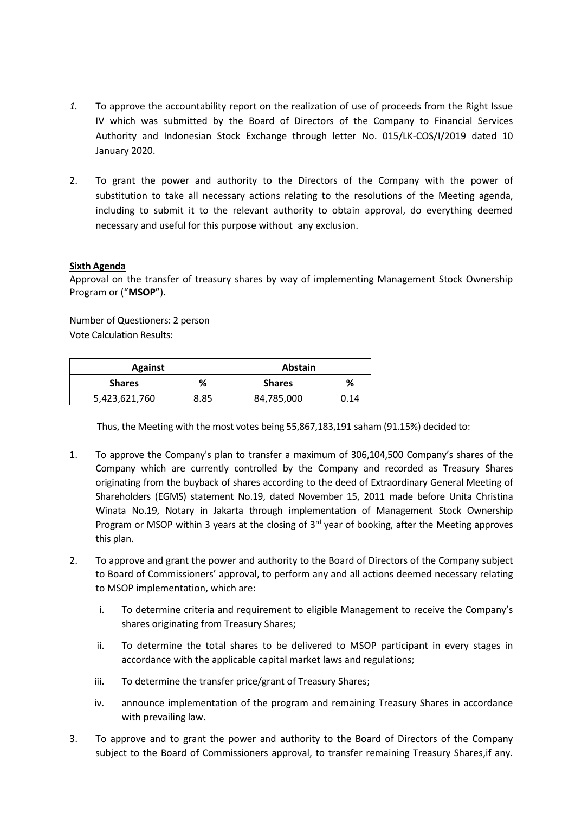- *1.* To approve the accountability report on the realization of use of proceeds from the Right Issue IV which was submitted by the Board of Directors of the Company to Financial Services Authority and Indonesian Stock Exchange through letter No. 015/LK-COS/I/2019 dated 10 January 2020.
- 2. To grant the power and authority to the Directors of the Company with the power of substitution to take all necessary actions relating to the resolutions of the Meeting agenda, including to submit it to the relevant authority to obtain approval, do everything deemed necessary and useful for this purpose without any exclusion.

### **Sixth Agenda**

Approval on the transfer of treasury shares by way of implementing Management Stock Ownership Program or ("**MSOP**").

Number of Questioners: 2 person Vote Calculation Results:

| <b>Against</b> |      | <b>Abstain</b> |      |
|----------------|------|----------------|------|
| <b>Shares</b>  | %    | <b>Shares</b>  | %    |
| 5,423,621,760  | 8.85 | 84,785,000     | 0.14 |

Thus, the Meeting with the most votes being 55,867,183,191 saham (91.15%) decided to:

- 1. To approve the Company's plan to transfer a maximum of 306,104,500 Company's shares of the Company which are currently controlled by the Company and recorded as Treasury Shares originating from the buyback of shares according to the deed of Extraordinary General Meeting of Shareholders (EGMS) statement No.19, dated November 15, 2011 made before Unita Christina Winata No.19, Notary in Jakarta through implementation of Management Stock Ownership Program or MSOP within 3 years at the closing of  $3<sup>rd</sup>$  year of booking, after the Meeting approves this plan.
- 2. To approve and grant the power and authority to the Board of Directors of the Company subject to Board of Commissioners' approval, to perform any and all actions deemed necessary relating to MSOP implementation, which are:
	- i. To determine criteria and requirement to eligible Management to receive the Company's shares originating from Treasury Shares;
	- ii. To determine the total shares to be delivered to MSOP participant in every stages in accordance with the applicable capital market laws and regulations;
	- iii. To determine the transfer price/grant of Treasury Shares;
	- iv. announce implementation of the program and remaining Treasury Shares in accordance with prevailing law.
- 3. To approve and to grant the power and authority to the Board of Directors of the Company subject to the Board of Commissioners approval, to transfer remaining Treasury Shares,if any.